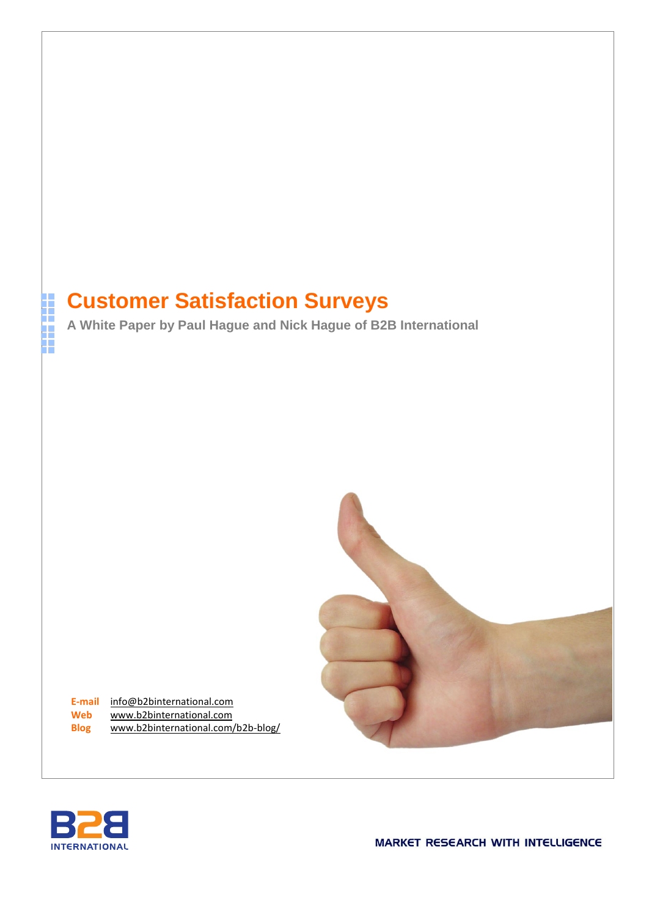# **Customer Satisfaction Surveys**

**A White Paper by Paul Hague and Nick Hague of B2B International**



**E-mail** [info@b2binternational.com](mailto:info@b2binternational.com) **Web** [www.b2binternational.com](http://www.b2binternational.com/) **Blog** [www.b2binternational.com/b2b-blog/](http://www.b2binternational.com/b2b-blog/)



i<br>H

**MARKET RESEARCH WITH INTELLIGENCE**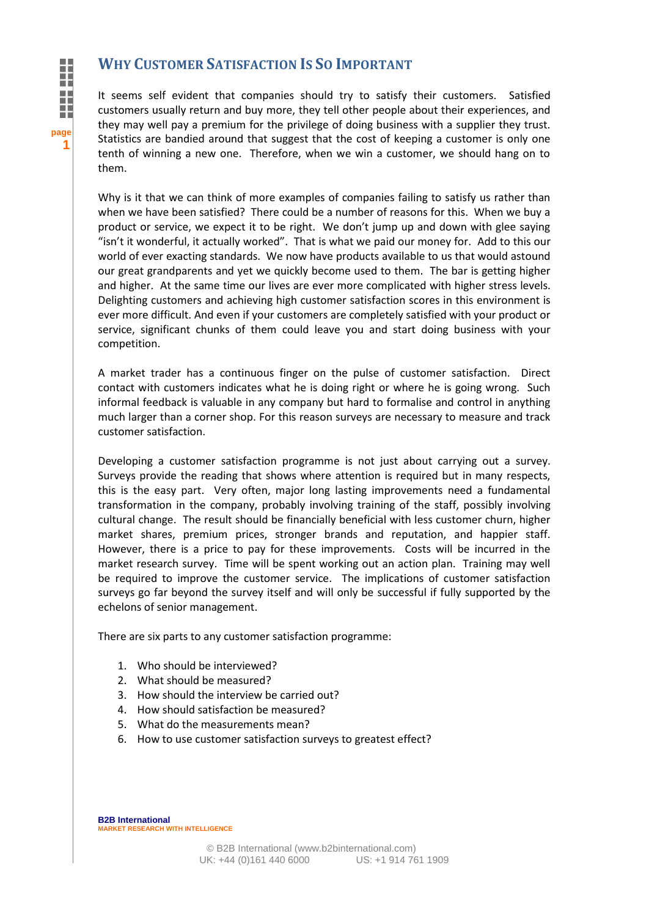**1**

# **WHY CUSTOMER SATISFACTION IS SO IMPORTANT**

It seems self evident that companies should try to satisfy their customers. Satisfied customers usually return and buy more, they tell other people about their experiences, and they may well pay a premium for the privilege of doing business with a supplier they trust. Statistics are bandied around that suggest that the cost of keeping a customer is only one tenth of winning a new one. Therefore, when we win a customer, we should hang on to them.

Why is it that we can think of more examples of companies failing to satisfy us rather than when we have been satisfied? There could be a number of reasons for this. When we buy a product or service, we expect it to be right. We don't jump up and down with glee saying "isn't it wonderful, it actually worked". That is what we paid our money for. Add to this our world of ever exacting standards. We now have products available to us that would astound our great grandparents and yet we quickly become used to them. The bar is getting higher and higher. At the same time our lives are ever more complicated with higher stress levels. Delighting customers and achieving high customer satisfaction scores in this environment is ever more difficult. And even if your customers are completely satisfied with your product or service, significant chunks of them could leave you and start doing business with your competition.

A market trader has a continuous finger on the pulse of customer satisfaction. Direct contact with customers indicates what he is doing right or where he is going wrong. Such informal feedback is valuable in any company but hard to formalise and control in anything much larger than a corner shop. For this reason surveys are necessary to measure and track customer satisfaction.

Developing a customer satisfaction programme is not just about carrying out a survey. Surveys provide the reading that shows where attention is required but in many respects, this is the easy part. Very often, major long lasting improvements need a fundamental transformation in the company, probably involving training of the staff, possibly involving cultural change. The result should be financially beneficial with less customer churn, higher market shares, premium prices, stronger brands and reputation, and happier staff. However, there is a price to pay for these improvements. Costs will be incurred in the market research survey. Time will be spent working out an action plan. Training may well be required to improve the customer service. The implications of customer satisfaction surveys go far beyond the survey itself and will only be successful if fully supported by the echelons of senior management.

There are six parts to any customer satisfaction programme:

- 1. Who should be interviewed?
- 2. What should be measured?
- 3. How should the interview be carried out?
- 4. How should satisfaction be measured?
- 5. What do the measurements mean?
- 6. How to use customer satisfaction surveys to greatest effect?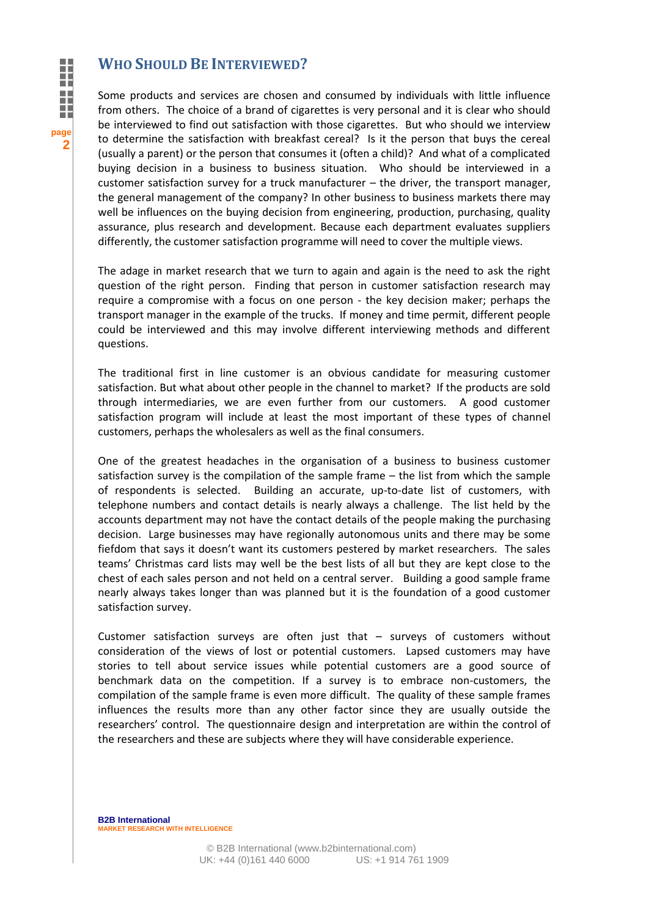### **WHO SHOULD BE INTERVIEWED?**

Some products and services are chosen and consumed by individuals with little influence from others. The choice of a brand of cigarettes is very personal and it is clear who should be interviewed to find out satisfaction with those cigarettes. But who should we interview to determine the satisfaction with breakfast cereal? Is it the person that buys the cereal (usually a parent) or the person that consumes it (often a child)? And what of a complicated buying decision in a business to business situation. Who should be interviewed in a customer satisfaction survey for a truck manufacturer – the driver, the transport manager, the general management of the company? In other business to business markets there may well be influences on the buying decision from engineering, production, purchasing, quality assurance, plus research and development. Because each department evaluates suppliers differently, the customer satisfaction programme will need to cover the multiple views.

The adage in market research that we turn to again and again is the need to ask the right question of the right person. Finding that person in customer satisfaction research may require a compromise with a focus on one person - the key decision maker; perhaps the transport manager in the example of the trucks. If money and time permit, different people could be interviewed and this may involve different interviewing methods and different questions.

The traditional first in line customer is an obvious candidate for measuring customer satisfaction. But what about other people in the channel to market? If the products are sold through intermediaries, we are even further from our customers. A good customer satisfaction program will include at least the most important of these types of channel customers, perhaps the wholesalers as well as the final consumers.

One of the greatest headaches in the organisation of a business to business customer satisfaction survey is the compilation of the sample frame – the list from which the sample of respondents is selected. Building an accurate, up-to-date list of customers, with telephone numbers and contact details is nearly always a challenge. The list held by the accounts department may not have the contact details of the people making the purchasing decision. Large businesses may have regionally autonomous units and there may be some fiefdom that says it doesn't want its customers pestered by market researchers. The sales teams' Christmas card lists may well be the best lists of all but they are kept close to the chest of each sales person and not held on a central server. Building a good sample frame nearly always takes longer than was planned but it is the foundation of a good customer satisfaction survey.

Customer satisfaction surveys are often just that – surveys of customers without consideration of the views of lost or potential customers. Lapsed customers may have stories to tell about service issues while potential customers are a good source of benchmark data on the competition. If a survey is to embrace non-customers, the compilation of the sample frame is even more difficult. The quality of these sample frames influences the results more than any other factor since they are usually outside the researchers' control. The questionnaire design and interpretation are within the control of the researchers and these are subjects where they will have considerable experience.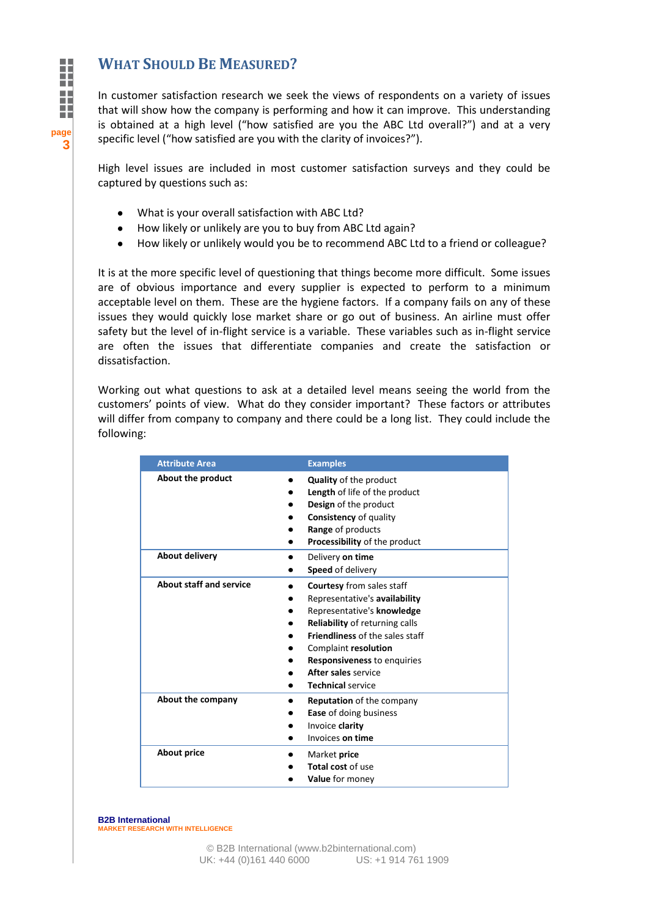# **WHAT SHOULD BE MEASURED?**

In customer satisfaction research we seek the views of respondents on a variety of issues that will show how the company is performing and how it can improve. This understanding is obtained at a high level ("how satisfied are you the ABC Ltd overall?") and at a very specific level ("how satisfied are you with the clarity of invoices?").

High level issues are included in most customer satisfaction surveys and they could be captured by questions such as:

- What is your overall satisfaction with ABC Ltd?
- How likely or unlikely are you to buy from ABC Ltd again?  $\bullet$
- How likely or unlikely would you be to recommend ABC Ltd to a friend or colleague?

It is at the more specific level of questioning that things become more difficult. Some issues are of obvious importance and every supplier is expected to perform to a minimum acceptable level on them. These are the hygiene factors. If a company fails on any of these issues they would quickly lose market share or go out of business. An airline must offer safety but the level of in-flight service is a variable. These variables such as in-flight service are often the issues that differentiate companies and create the satisfaction or dissatisfaction.

Working out what questions to ask at a detailed level means seeing the world from the customers' points of view. What do they consider important? These factors or attributes will differ from company to company and there could be a long list. They could include the following:

| <b>Attribute Area</b>          | <b>Examples</b>                                                                                                                                                                                                                                                                       |
|--------------------------------|---------------------------------------------------------------------------------------------------------------------------------------------------------------------------------------------------------------------------------------------------------------------------------------|
| About the product              | <b>Quality</b> of the product<br><b>Length</b> of life of the product<br>Design of the product<br><b>Consistency</b> of quality<br>Range of products<br>Processibility of the product                                                                                                 |
| <b>About delivery</b>          | Delivery on time<br>Speed of delivery                                                                                                                                                                                                                                                 |
| <b>About staff and service</b> | <b>Courtesy</b> from sales staff<br>Representative's availability<br>Representative's knowledge<br>Reliability of returning calls<br>Friendliness of the sales staff<br>Complaint resolution<br><b>Responsiveness to enquiries</b><br>After sales service<br><b>Technical service</b> |
| About the company              | Reputation of the company<br><b>Ease</b> of doing business<br>Invoice clarity<br>Invoices on time                                                                                                                                                                                     |
| <b>About price</b>             | Market price<br>Total cost of use<br>Value for money                                                                                                                                                                                                                                  |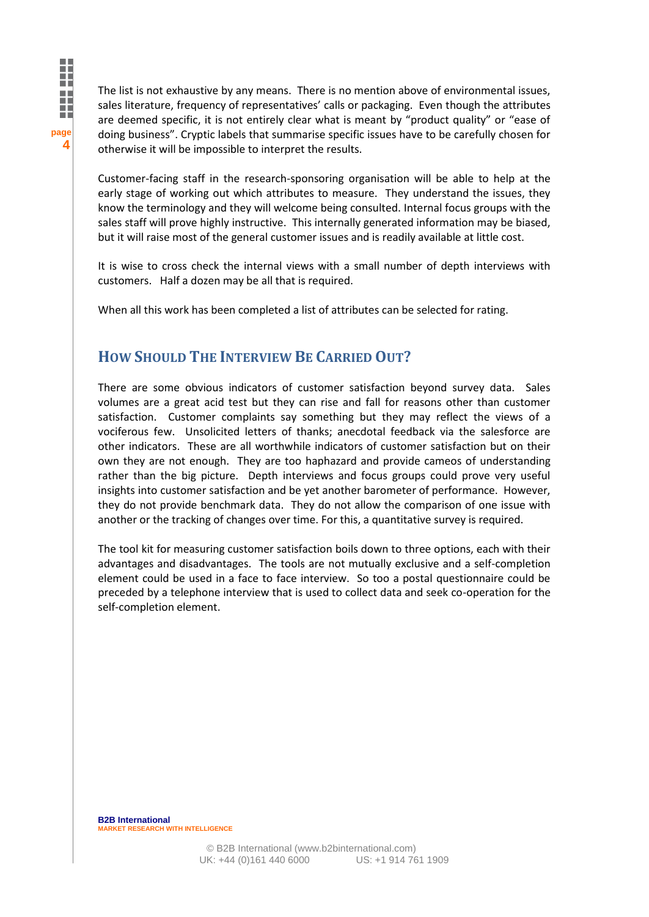The list is not exhaustive by any means. There is no mention above of environmental issues, sales literature, frequency of representatives' calls or packaging. Even though the attributes are deemed specific, it is not entirely clear what is meant by "product quality" or "ease of doing business". Cryptic labels that summarise specific issues have to be carefully chosen for otherwise it will be impossible to interpret the results.

Customer-facing staff in the research-sponsoring organisation will be able to help at the early stage of working out which attributes to measure. They understand the issues, they know the terminology and they will welcome being consulted. Internal focus groups with the sales staff will prove highly instructive. This internally generated information may be biased, but it will raise most of the general customer issues and is readily available at little cost.

It is wise to cross check the internal views with a small number of depth interviews with customers. Half a dozen may be all that is required.

When all this work has been completed a list of attributes can be selected for rating.

# **HOW SHOULD THE INTERVIEW BE CARRIED OUT?**

**page**

**4**

Ï

There are some obvious indicators of customer satisfaction beyond survey data. Sales volumes are a great acid test but they can rise and fall for reasons other than customer satisfaction. Customer complaints say something but they may reflect the views of a vociferous few. Unsolicited letters of thanks; anecdotal feedback via the salesforce are other indicators. These are all worthwhile indicators of customer satisfaction but on their own they are not enough. They are too haphazard and provide cameos of understanding rather than the big picture. Depth interviews and focus groups could prove very useful insights into customer satisfaction and be yet another barometer of performance. However, they do not provide benchmark data. They do not allow the comparison of one issue with another or the tracking of changes over time. For this, a quantitative survey is required.

The tool kit for measuring customer satisfaction boils down to three options, each with their advantages and disadvantages. The tools are not mutually exclusive and a self-completion element could be used in a face to face interview. So too a postal questionnaire could be preceded by a telephone interview that is used to collect data and seek co-operation for the self-completion element.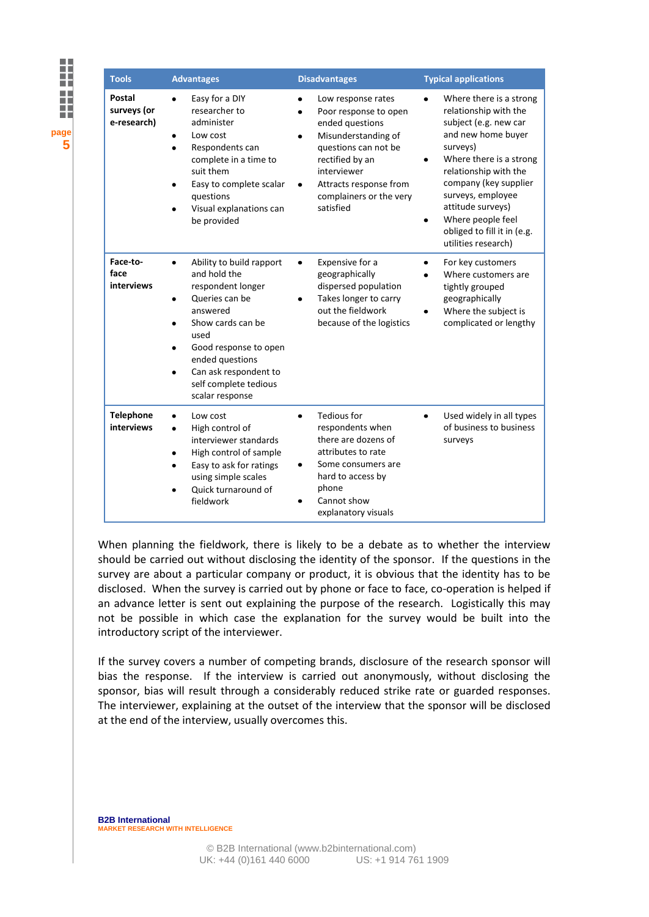| <b>Tools</b>                                | <b>Advantages</b>                                                                                                                                                                                                                                           | <b>Disadvantages</b>                                                                                                                                                                                                   | <b>Typical applications</b>                                                                                                                                                                                                                                                                                                     |
|---------------------------------------------|-------------------------------------------------------------------------------------------------------------------------------------------------------------------------------------------------------------------------------------------------------------|------------------------------------------------------------------------------------------------------------------------------------------------------------------------------------------------------------------------|---------------------------------------------------------------------------------------------------------------------------------------------------------------------------------------------------------------------------------------------------------------------------------------------------------------------------------|
| <b>Postal</b><br>surveys (or<br>e-research) | Easy for a DIY<br>$\bullet$<br>researcher to<br>administer<br>Low cost<br>Respondents can<br>complete in a time to<br>suit them<br>Easy to complete scalar<br>questions<br>Visual explanations can<br>be provided                                           | Low response rates<br>Poor response to open<br>ended questions<br>Misunderstanding of<br>questions can not be<br>rectified by an<br>interviewer<br>Attracts response from<br>٠<br>complainers or the very<br>satisfied | Where there is a strong<br>$\bullet$<br>relationship with the<br>subject (e.g. new car<br>and new home buyer<br>surveys)<br>Where there is a strong<br>relationship with the<br>company (key supplier<br>surveys, employee<br>attitude surveys)<br>Where people feel<br>٠<br>obliged to fill it in (e.g.<br>utilities research) |
| Face-to-<br>face<br>interviews              | Ability to build rapport<br>$\bullet$<br>and hold the<br>respondent longer<br>Queries can be<br>٠<br>answered<br>Show cards can be<br>used<br>Good response to open<br>ended questions<br>Can ask respondent to<br>self complete tedious<br>scalar response | Expensive for a<br>$\bullet$<br>geographically<br>dispersed population<br>Takes longer to carry<br>out the fieldwork<br>because of the logistics                                                                       | For key customers<br>$\bullet$<br>Where customers are<br>tightly grouped<br>geographically<br>Where the subject is<br>complicated or lengthy                                                                                                                                                                                    |
| <b>Telephone</b><br>interviews              | Low cost<br>High control of<br>$\bullet$<br>interviewer standards<br>High control of sample<br>Easy to ask for ratings<br>using simple scales<br>Quick turnaround of<br>fieldwork                                                                           | <b>Tedious for</b><br>respondents when<br>there are dozens of<br>attributes to rate<br>Some consumers are<br>٠<br>hard to access by<br>phone<br>Cannot show<br>explanatory visuals                                     | Used widely in all types<br>٠<br>of business to business<br>surveys                                                                                                                                                                                                                                                             |

When planning the fieldwork, there is likely to be a debate as to whether the interview should be carried out without disclosing the identity of the sponsor. If the questions in the survey are about a particular company or product, it is obvious that the identity has to be disclosed. When the survey is carried out by phone or face to face, co-operation is helped if an advance letter is sent out explaining the purpose of the research. Logistically this may not be possible in which case the explanation for the survey would be built into the introductory script of the interviewer.

If the survey covers a number of competing brands, disclosure of the research sponsor will bias the response. If the interview is carried out anonymously, without disclosing the sponsor, bias will result through a considerably reduced strike rate or guarded responses. The interviewer, explaining at the outset of the interview that the sponsor will be disclosed at the end of the interview, usually overcomes this.

**B2B International MARKET RESEARCH WITH INTELLIGENCE** 

**page**

**5**

l

m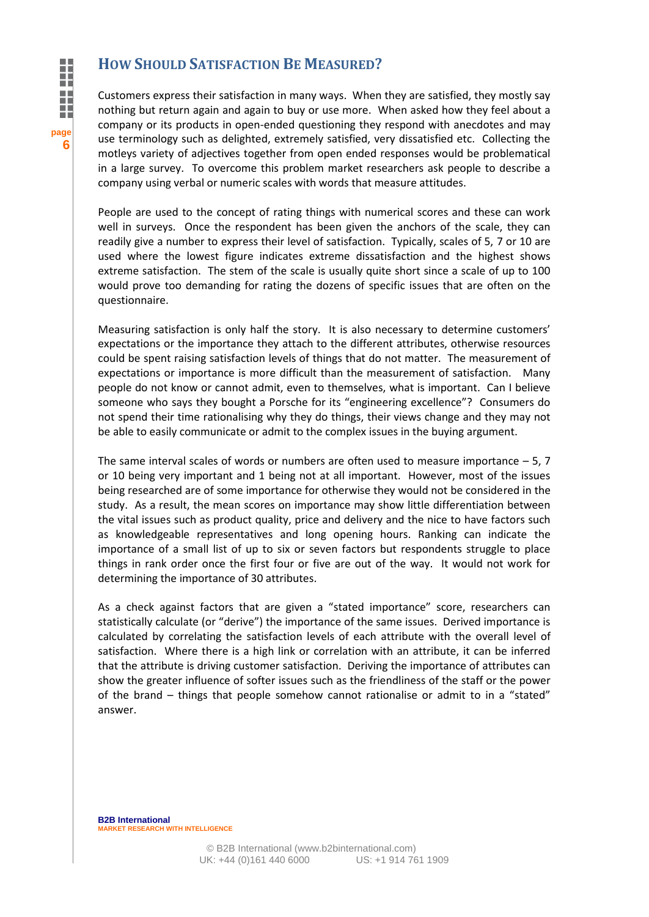### **HOW SHOULD SATISFACTION BE MEASURED?**

Customers express their satisfaction in many ways. When they are satisfied, they mostly say nothing but return again and again to buy or use more. When asked how they feel about a company or its products in open-ended questioning they respond with anecdotes and may use terminology such as delighted, extremely satisfied, very dissatisfied etc. Collecting the motleys variety of adjectives together from open ended responses would be problematical in a large survey. To overcome this problem market researchers ask people to describe a company using verbal or numeric scales with words that measure attitudes.

People are used to the concept of rating things with numerical scores and these can work well in surveys. Once the respondent has been given the anchors of the scale, they can readily give a number to express their level of satisfaction. Typically, scales of 5, 7 or 10 are used where the lowest figure indicates extreme dissatisfaction and the highest shows extreme satisfaction. The stem of the scale is usually quite short since a scale of up to 100 would prove too demanding for rating the dozens of specific issues that are often on the questionnaire.

Measuring satisfaction is only half the story. It is also necessary to determine customers' expectations or the importance they attach to the different attributes, otherwise resources could be spent raising satisfaction levels of things that do not matter. The measurement of expectations or importance is more difficult than the measurement of satisfaction. Many people do not know or cannot admit, even to themselves, what is important. Can I believe someone who says they bought a Porsche for its "engineering excellence"? Consumers do not spend their time rationalising why they do things, their views change and they may not be able to easily communicate or admit to the complex issues in the buying argument.

The same interval scales of words or numbers are often used to measure importance  $-5$ , 7 or 10 being very important and 1 being not at all important. However, most of the issues being researched are of some importance for otherwise they would not be considered in the study. As a result, the mean scores on importance may show little differentiation between the vital issues such as product quality, price and delivery and the nice to have factors such as knowledgeable representatives and long opening hours. Ranking can indicate the importance of a small list of up to six or seven factors but respondents struggle to place things in rank order once the first four or five are out of the way. It would not work for determining the importance of 30 attributes.

As a check against factors that are given a "stated importance" score, researchers can statistically calculate (or "derive") the importance of the same issues. Derived importance is calculated by correlating the satisfaction levels of each attribute with the overall level of satisfaction. Where there is a high link or correlation with an attribute, it can be inferred that the attribute is driving customer satisfaction. Deriving the importance of attributes can show the greater influence of softer issues such as the friendliness of the staff or the power of the brand – things that people somehow cannot rationalise or admit to in a "stated" answer.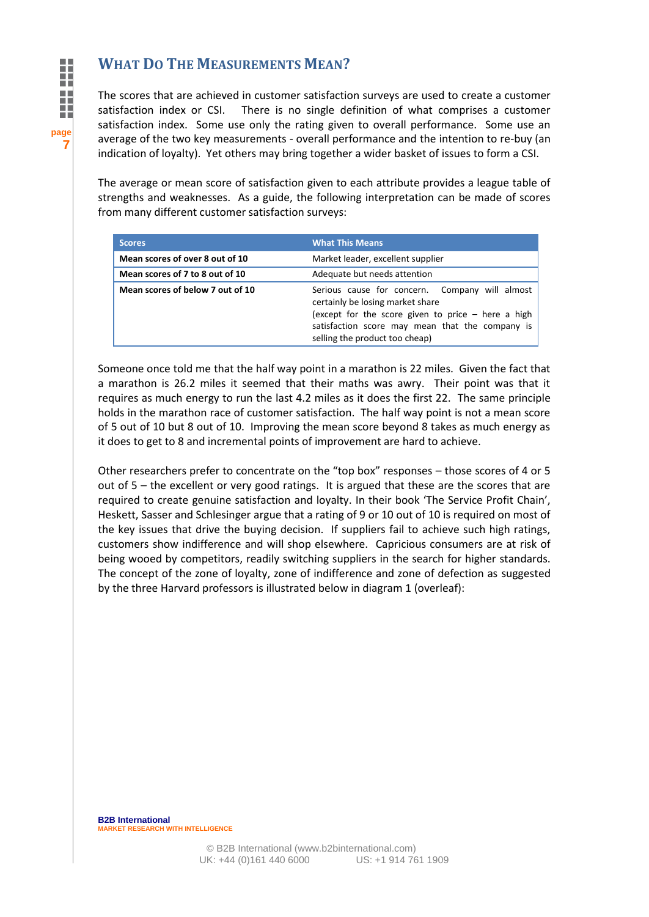# **WHAT DO THE MEASUREMENTS MEAN?**

The scores that are achieved in customer satisfaction surveys are used to create a customer satisfaction index or CSI. There is no single definition of what comprises a customer satisfaction index. Some use only the rating given to overall performance. Some use an average of the two key measurements - overall performance and the intention to re-buy (an indication of loyalty). Yet others may bring together a wider basket of issues to form a CSI.

The average or mean score of satisfaction given to each attribute provides a league table of strengths and weaknesses. As a guide, the following interpretation can be made of scores from many different customer satisfaction surveys:

| <b>Scores</b>                    | <b>What This Means</b>                                                                                                                                                                                                          |  |
|----------------------------------|---------------------------------------------------------------------------------------------------------------------------------------------------------------------------------------------------------------------------------|--|
| Mean scores of over 8 out of 10  | Market leader, excellent supplier                                                                                                                                                                                               |  |
| Mean scores of 7 to 8 out of 10  | Adequate but needs attention                                                                                                                                                                                                    |  |
| Mean scores of below 7 out of 10 | Serious cause for concern. Company will almost<br>certainly be losing market share<br>(except for the score given to price $-$ here a high<br>satisfaction score may mean that the company is<br>selling the product too cheap) |  |

Someone once told me that the half way point in a marathon is 22 miles. Given the fact that a marathon is 26.2 miles it seemed that their maths was awry. Their point was that it requires as much energy to run the last 4.2 miles as it does the first 22. The same principle holds in the marathon race of customer satisfaction. The half way point is not a mean score of 5 out of 10 but 8 out of 10. Improving the mean score beyond 8 takes as much energy as it does to get to 8 and incremental points of improvement are hard to achieve.

Other researchers prefer to concentrate on the "top box" responses – those scores of 4 or 5 out of 5 – the excellent or very good ratings. It is argued that these are the scores that are required to create genuine satisfaction and loyalty. In their book 'The Service Profit Chain', Heskett, Sasser and Schlesinger argue that a rating of 9 or 10 out of 10 is required on most of the key issues that drive the buying decision. If suppliers fail to achieve such high ratings, customers show indifference and will shop elsewhere. Capricious consumers are at risk of being wooed by competitors, readily switching suppliers in the search for higher standards. The concept of the zone of loyalty, zone of indifference and zone of defection as suggested by the three Harvard professors is illustrated below in diagram 1 (overleaf):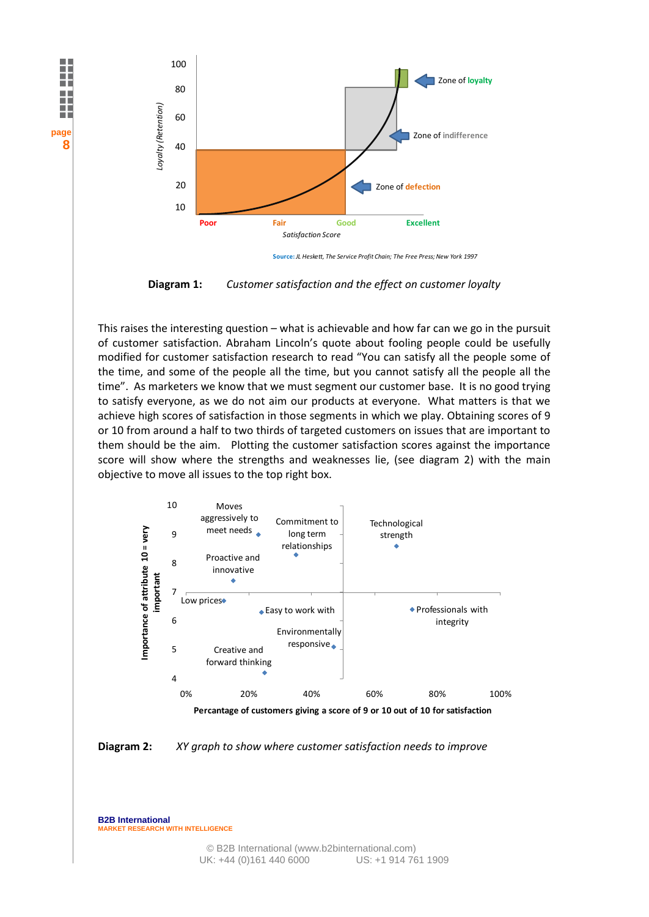

**Source:** *JL Heskett, The Service Profit Chain; The Free Press; New York 1997*

**Diagram 1:** *Customer satisfaction and the effect on customer loyalty*

This raises the interesting question – what is achievable and how far can we go in the pursuit of customer satisfaction. Abraham Lincoln's quote about fooling people could be usefully modified for customer satisfaction research to read "You can satisfy all the people some of the time, and some of the people all the time, but you cannot satisfy all the people all the time". As marketers we know that we must segment our customer base. It is no good trying to satisfy everyone, as we do not aim our products at everyone. What matters is that we achieve high scores of satisfaction in those segments in which we play. Obtaining scores of 9 or 10 from around a half to two thirds of targeted customers on issues that are important to them should be the aim. Plotting the customer satisfaction scores against the importance score will show where the strengths and weaknesses lie, (see diagram 2) with the main objective to move all issues to the top right box.





**B2B International MARKET RESEARCH WITH INTELLIGENCE** 

**page**

**8**

l

m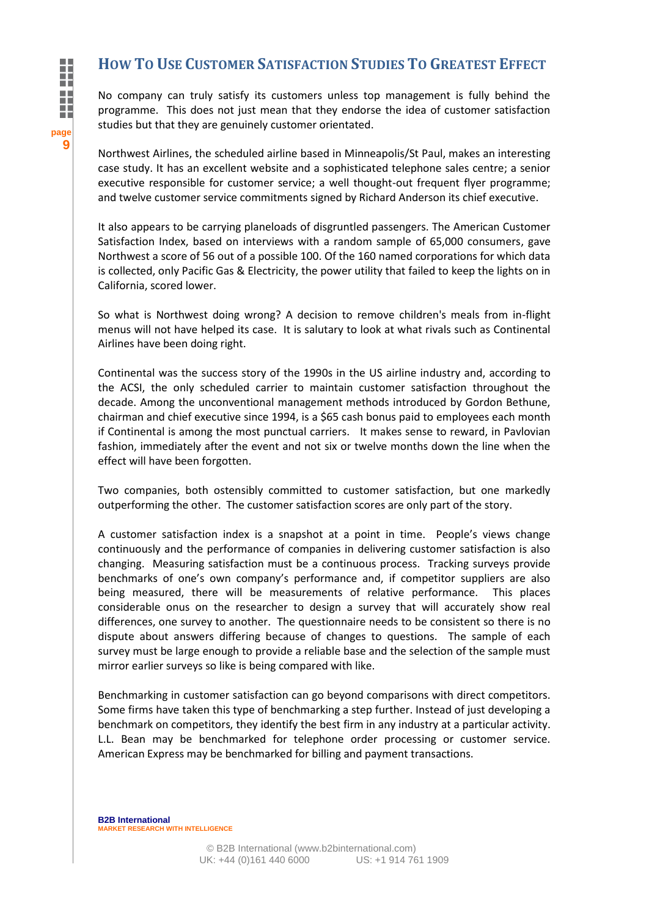# **HOW TO USE CUSTOMER SATISFACTION STUDIES TO GREATEST EFFECT**

No company can truly satisfy its customers unless top management is fully behind the programme. This does not just mean that they endorse the idea of customer satisfaction studies but that they are genuinely customer orientated.

Northwest Airlines, the scheduled airline based in Minneapolis/St Paul, makes an interesting case study. It has an excellent website and a sophisticated telephone sales centre; a senior executive responsible for customer service; a well thought-out frequent flyer programme; and twelve customer service commitments signed by Richard Anderson its chief executive.

It also appears to be carrying planeloads of disgruntled passengers. The American Customer Satisfaction Index, based on interviews with a random sample of 65,000 consumers, gave Northwest a score of 56 out of a possible 100. Of the 160 named corporations for which data is collected, only Pacific Gas & Electricity, the power utility that failed to keep the lights on in California, scored lower.

So what is Northwest doing wrong? A decision to remove children's meals from in-flight menus will not have helped its case. It is salutary to look at what rivals such as Continental Airlines have been doing right.

Continental was the success story of the 1990s in the US airline industry and, according to the ACSI, the only scheduled carrier to maintain customer satisfaction throughout the decade. Among the unconventional management methods introduced by Gordon Bethune, chairman and chief executive since 1994, is a \$65 cash bonus paid to employees each month if Continental is among the most punctual carriers. It makes sense to reward, in Pavlovian fashion, immediately after the event and not six or twelve months down the line when the effect will have been forgotten.

Two companies, both ostensibly committed to customer satisfaction, but one markedly outperforming the other. The customer satisfaction scores are only part of the story.

A customer satisfaction index is a snapshot at a point in time. People's views change continuously and the performance of companies in delivering customer satisfaction is also changing. Measuring satisfaction must be a continuous process. Tracking surveys provide benchmarks of one's own company's performance and, if competitor suppliers are also being measured, there will be measurements of relative performance. This places considerable onus on the researcher to design a survey that will accurately show real differences, one survey to another. The questionnaire needs to be consistent so there is no dispute about answers differing because of changes to questions. The sample of each survey must be large enough to provide a reliable base and the selection of the sample must mirror earlier surveys so like is being compared with like.

Benchmarking in customer satisfaction can go beyond comparisons with direct competitors. Some firms have taken this type of benchmarking a step further. Instead of just developing a benchmark on competitors, they identify the best firm in any industry at a particular activity. L.L. Bean may be benchmarked for telephone order processing or customer service. American Express may be benchmarked for billing and payment transactions.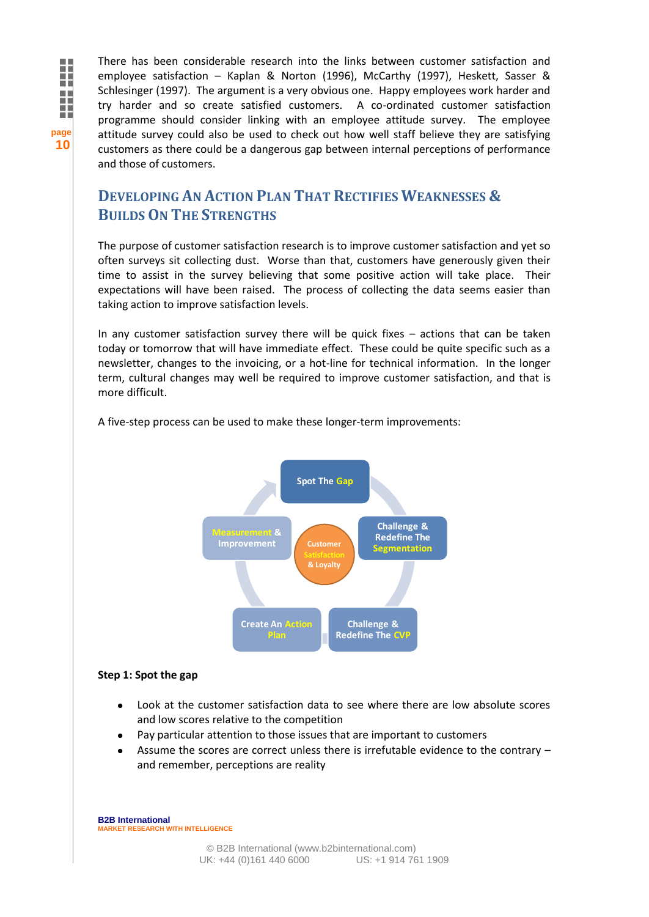There has been considerable research into the links between customer satisfaction and employee satisfaction – Kaplan & Norton (1996), McCarthy (1997), Heskett, Sasser & Schlesinger (1997). The argument is a very obvious one. Happy employees work harder and try harder and so create satisfied customers. A co-ordinated customer satisfaction programme should consider linking with an employee attitude survey. The employee attitude survey could also be used to check out how well staff believe they are satisfying customers as there could be a dangerous gap between internal perceptions of performance and those of customers.

# **DEVELOPING AN ACTION PLAN THAT RECTIFIES WEAKNESSES & BUILDS ON THE STRENGTHS**

The purpose of customer satisfaction research is to improve customer satisfaction and yet so often surveys sit collecting dust. Worse than that, customers have generously given their time to assist in the survey believing that some positive action will take place. Their expectations will have been raised. The process of collecting the data seems easier than taking action to improve satisfaction levels.

In any customer satisfaction survey there will be quick fixes – actions that can be taken today or tomorrow that will have immediate effect. These could be quite specific such as a newsletter, changes to the invoicing, or a hot-line for technical information. In the longer term, cultural changes may well be required to improve customer satisfaction, and that is more difficult.

A five-step process can be used to make these longer-term improvements:



#### **Step 1: Spot the gap**

- Look at the customer satisfaction data to see where there are low absolute scores and low scores relative to the competition
- Pay particular attention to those issues that are important to customers
- Assume the scores are correct unless there is irrefutable evidence to the contrary and remember, perceptions are reality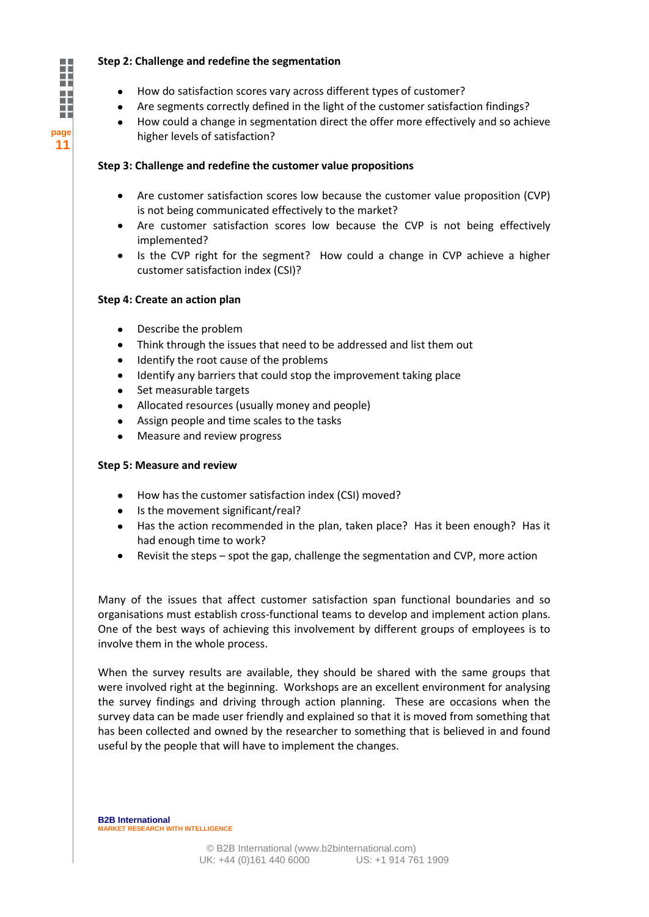#### **Step 2: Challenge and redefine the segmentation**

- How do satisfaction scores vary across different types of customer?
- Are segments correctly defined in the light of the customer satisfaction findings?
- How could a change in segmentation direct the offer more effectively and so achieve higher levels of satisfaction?

#### **Step 3: Challenge and redefine the customer value propositions**

- Are customer satisfaction scores low because the customer value proposition (CVP) is not being communicated effectively to the market?
- Are customer satisfaction scores low because the CVP is not being effectively implemented?
- Is the CVP right for the segment? How could a change in CVP achieve a higher customer satisfaction index (CSI)?

#### **Step 4: Create an action plan**

- Describe the problem  $\bullet$
- Think through the issues that need to be addressed and list them out
- Identify the root cause of the problems
- Identify any barriers that could stop the improvement taking place  $\bullet$
- Set measurable targets
- Allocated resources (usually money and people)
- Assign people and time scales to the tasks
- Measure and review progress

#### **Step 5: Measure and review**

- How has the customer satisfaction index (CSI) moved?
- Is the movement significant/real?
- Has the action recommended in the plan, taken place? Has it been enough? Has it had enough time to work?
- Revisit the steps spot the gap, challenge the segmentation and CVP, more action

Many of the issues that affect customer satisfaction span functional boundaries and so organisations must establish cross-functional teams to develop and implement action plans. One of the best ways of achieving this involvement by different groups of employees is to involve them in the whole process.

When the survey results are available, they should be shared with the same groups that were involved right at the beginning. Workshops are an excellent environment for analysing the survey findings and driving through action planning. These are occasions when the survey data can be made user friendly and explained so that it is moved from something that has been collected and owned by the researcher to something that is believed in and found useful by the people that will have to implement the changes.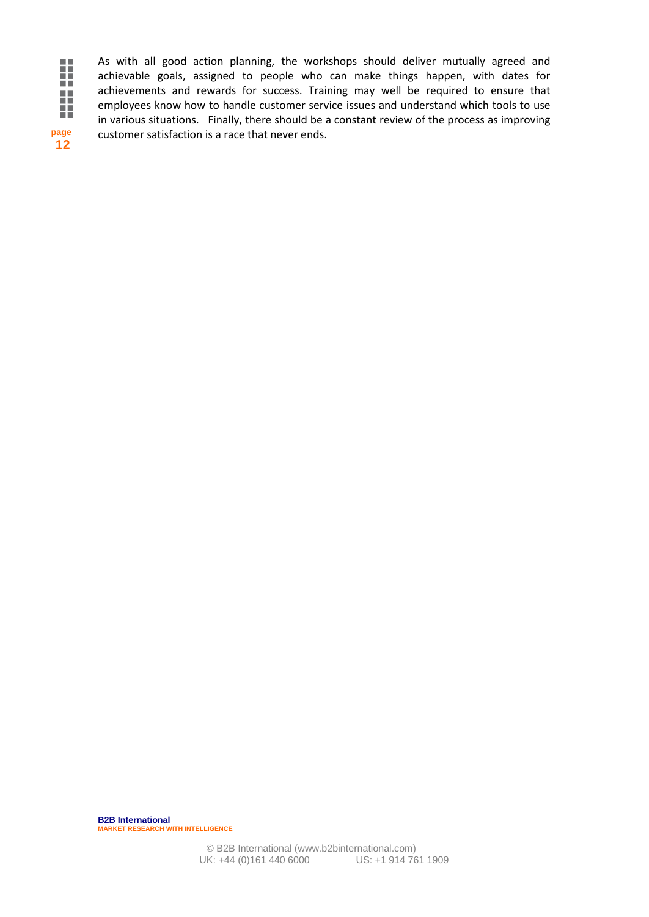**page 12**

As with all good action planning, the workshops should deliver mutually agreed and achievable goals, assigned to people who can make things happen, with dates for achievements and rewards for success. Training may well be required to ensure that employees know how to handle customer service issues and understand which tools to use in various situations. Finally, there should be a constant review of the process as improving customer satisfaction is a race that never ends.